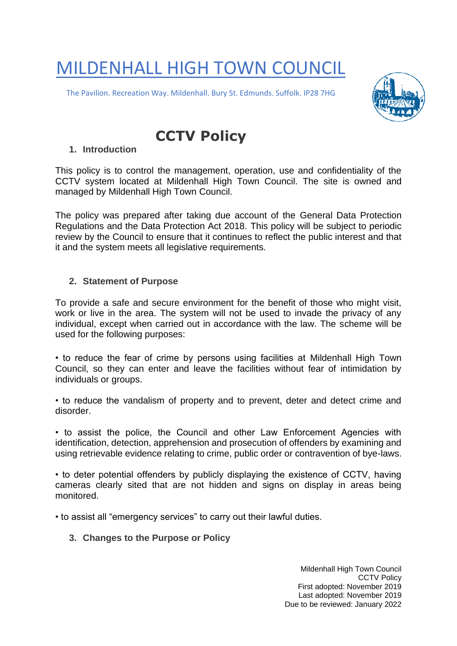# MILDENHALL HIGH TOWN COUNCIL

The Pavilion. Recreation Way. Mildenhall. Bury St. Edmunds. Suffolk. IP28 7HG



# **CCTV Policy**

# **1. Introduction**

This policy is to control the management, operation, use and confidentiality of the CCTV system located at Mildenhall High Town Council. The site is owned and managed by Mildenhall High Town Council.

The policy was prepared after taking due account of the General Data Protection Regulations and the Data Protection Act 2018. This policy will be subject to periodic review by the Council to ensure that it continues to reflect the public interest and that it and the system meets all legislative requirements.

# **2. Statement of Purpose**

To provide a safe and secure environment for the benefit of those who might visit, work or live in the area. The system will not be used to invade the privacy of any individual, except when carried out in accordance with the law. The scheme will be used for the following purposes:

• to reduce the fear of crime by persons using facilities at Mildenhall High Town Council, so they can enter and leave the facilities without fear of intimidation by individuals or groups.

• to reduce the vandalism of property and to prevent, deter and detect crime and disorder.

• to assist the police, the Council and other Law Enforcement Agencies with identification, detection, apprehension and prosecution of offenders by examining and using retrievable evidence relating to crime, public order or contravention of bye-laws.

• to deter potential offenders by publicly displaying the existence of CCTV, having cameras clearly sited that are not hidden and signs on display in areas being monitored.

• to assist all "emergency services" to carry out their lawful duties.

**3. Changes to the Purpose or Policy**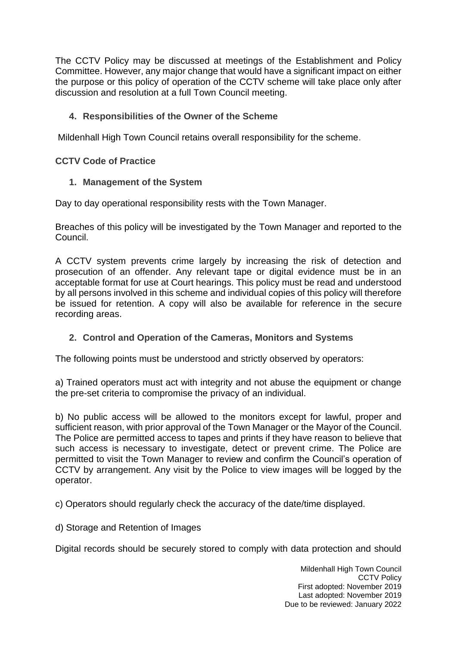The CCTV Policy may be discussed at meetings of the Establishment and Policy Committee. However, any major change that would have a significant impact on either the purpose or this policy of operation of the CCTV scheme will take place only after discussion and resolution at a full Town Council meeting.

# **4. Responsibilities of the Owner of the Scheme**

Mildenhall High Town Council retains overall responsibility for the scheme.

**CCTV Code of Practice**

# **1. Management of the System**

Day to day operational responsibility rests with the Town Manager.

Breaches of this policy will be investigated by the Town Manager and reported to the Council.

A CCTV system prevents crime largely by increasing the risk of detection and prosecution of an offender. Any relevant tape or digital evidence must be in an acceptable format for use at Court hearings. This policy must be read and understood by all persons involved in this scheme and individual copies of this policy will therefore be issued for retention. A copy will also be available for reference in the secure recording areas.

# **2. Control and Operation of the Cameras, Monitors and Systems**

The following points must be understood and strictly observed by operators:

a) Trained operators must act with integrity and not abuse the equipment or change the pre-set criteria to compromise the privacy of an individual.

b) No public access will be allowed to the monitors except for lawful, proper and sufficient reason, with prior approval of the Town Manager or the Mayor of the Council. The Police are permitted access to tapes and prints if they have reason to believe that such access is necessary to investigate, detect or prevent crime. The Police are permitted to visit the Town Manager to review and confirm the Council's operation of CCTV by arrangement. Any visit by the Police to view images will be logged by the operator.

c) Operators should regularly check the accuracy of the date/time displayed.

d) Storage and Retention of Images

Digital records should be securely stored to comply with data protection and should